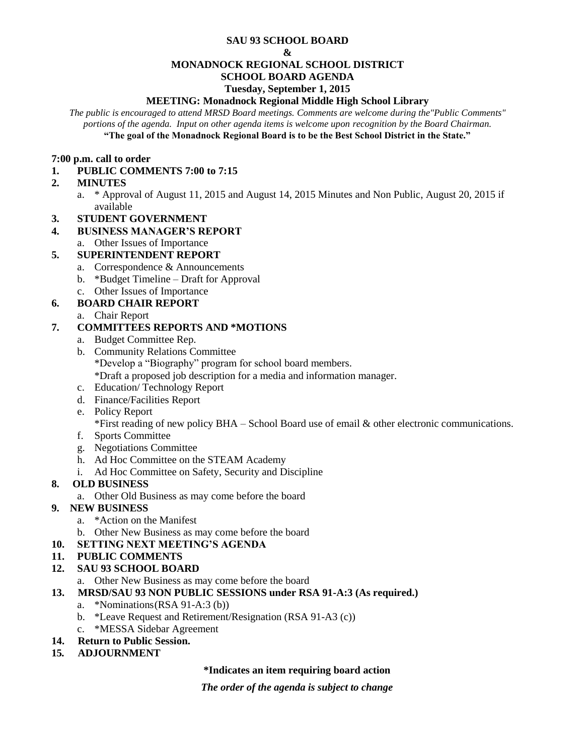#### **SAU 93 SCHOOL BOARD**

#### **&**

#### **MONADNOCK REGIONAL SCHOOL DISTRICT**

# **SCHOOL BOARD AGENDA**

#### **Tuesday, September 1, 2015**

#### **MEETING: Monadnock Regional Middle High School Library**

*The public is encouraged to attend MRSD Board meetings. Comments are welcome during the"Public Comments" portions of the agenda. Input on other agenda items is welcome upon recognition by the Board Chairman.* **"The goal of the Monadnock Regional Board is to be the Best School District in the State."**

#### **7:00 p.m. call to order**

# **1. PUBLIC COMMENTS 7:00 to 7:15**

## **2. MINUTES**

a. \* Approval of August 11, 2015 and August 14, 2015 Minutes and Non Public, August 20, 2015 if available

## **3. STUDENT GOVERNMENT**

## **4. BUSINESS MANAGER'S REPORT**

a. Other Issues of Importance

# **5. SUPERINTENDENT REPORT**

- a. Correspondence & Announcements
- b. \*Budget Timeline Draft for Approval
- c. Other Issues of Importance

## **6. BOARD CHAIR REPORT**

a. Chair Report

## **7. COMMITTEES REPORTS AND \*MOTIONS**

- a. Budget Committee Rep.
- b. Community Relations Committee \*Develop a "Biography" program for school board members. \*Draft a proposed job description for a media and information manager.
- c. Education/ Technology Report
- d. Finance/Facilities Report
- e. Policy Report

\*First reading of new policy BHA – School Board use of email & other electronic communications.

- f. Sports Committee
- g. Negotiations Committee
- h. Ad Hoc Committee on the STEAM Academy
- i. Ad Hoc Committee on Safety, Security and Discipline

## **8. OLD BUSINESS**

a. Other Old Business as may come before the board

## **9. NEW BUSINESS**

- a. \*Action on the Manifest
- b. Other New Business as may come before the board

## **10. SETTING NEXT MEETING'S AGENDA**

## **11. PUBLIC COMMENTS**

## **12. SAU 93 SCHOOL BOARD**

a. Other New Business as may come before the board

## **13. MRSD/SAU 93 NON PUBLIC SESSIONS under RSA 91-A:3 (As required.)**

- a. \*Nominations(RSA 91-A:3 (b))
- b. \*Leave Request and Retirement/Resignation (RSA 91-A3 (c))
- c. \*MESSA Sidebar Agreement
- **14. Return to Public Session.**

# **15***.* **ADJOURNMENT**

## **\*Indicates an item requiring board action**

*The order of the agenda is subject to change*